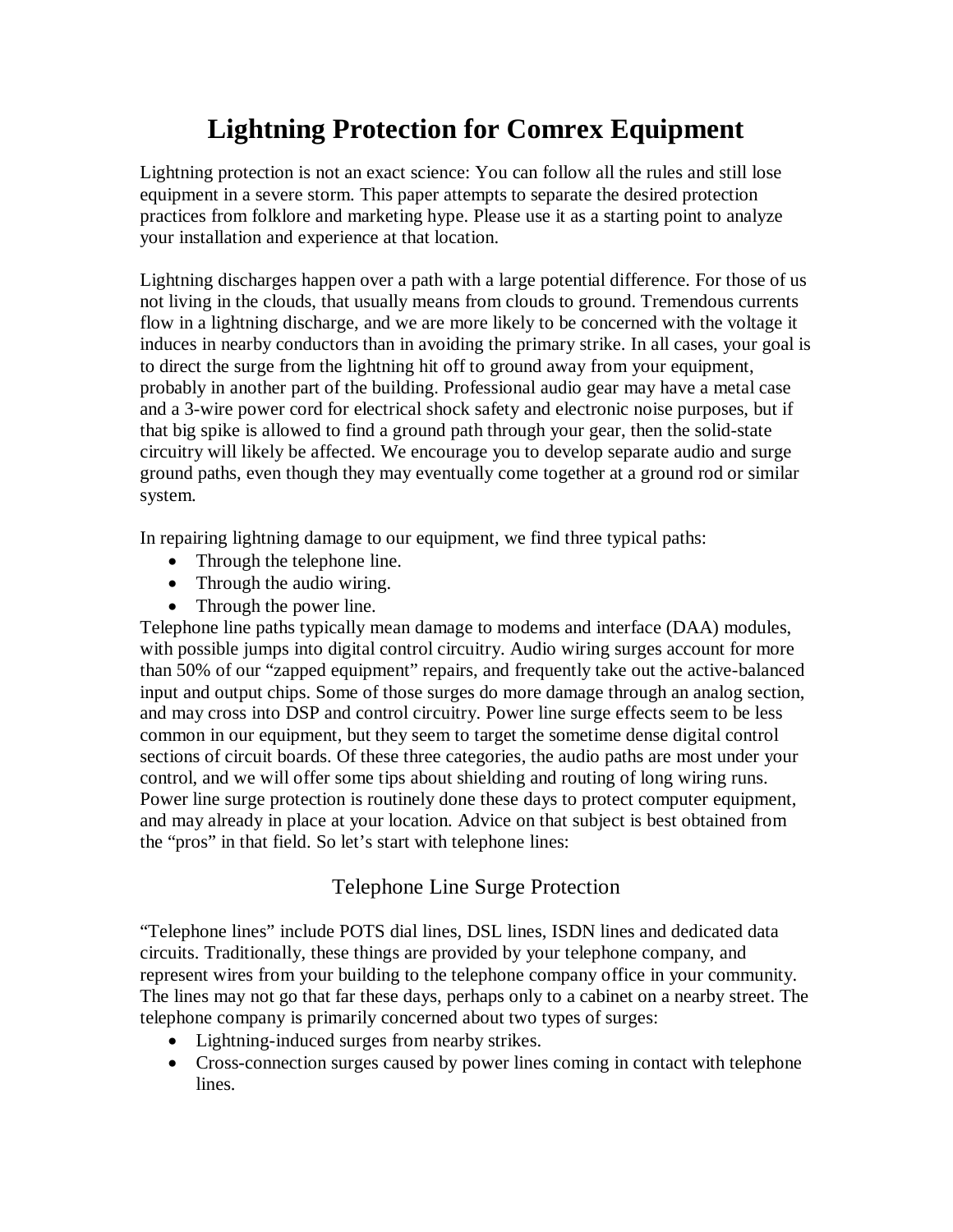## **Lightning Protection for Comrex Equipment**

Lightning protection is not an exact science: You can follow all the rules and still lose equipment in a severe storm. This paper attempts to separate the desired protection practices from folklore and marketing hype. Please use it as a starting point to analyze your installation and experience at that location.

Lightning discharges happen over a path with a large potential difference. For those of us not living in the clouds, that usually means from clouds to ground. Tremendous currents flow in a lightning discharge, and we are more likely to be concerned with the voltage it induces in nearby conductors than in avoiding the primary strike. In all cases, your goal is to direct the surge from the lightning hit off to ground away from your equipment, probably in another part of the building. Professional audio gear may have a metal case and a 3-wire power cord for electrical shock safety and electronic noise purposes, but if that big spike is allowed to find a ground path through your gear, then the solid-state circuitry will likely be affected. We encourage you to develop separate audio and surge ground paths, even though they may eventually come together at a ground rod or similar system.

In repairing lightning damage to our equipment, we find three typical paths:

- Through the telephone line.
- Through the audio wiring.
- Through the power line.

Telephone line paths typically mean damage to modems and interface (DAA) modules, with possible jumps into digital control circuitry. Audio wiring surges account for more than 50% of our "zapped equipment" repairs, and frequently take out the active-balanced input and output chips. Some of those surges do more damage through an analog section, and may cross into DSP and control circuitry. Power line surge effects seem to be less common in our equipment, but they seem to target the sometime dense digital control sections of circuit boards. Of these three categories, the audio paths are most under your control, and we will offer some tips about shielding and routing of long wiring runs. Power line surge protection is routinely done these days to protect computer equipment, and may already in place at your location. Advice on that subject is best obtained from the "pros" in that field. So let's start with telephone lines:

## Telephone Line Surge Protection

"Telephone lines" include POTS dial lines, DSL lines, ISDN lines and dedicated data circuits. Traditionally, these things are provided by your telephone company, and represent wires from your building to the telephone company office in your community. The lines may not go that far these days, perhaps only to a cabinet on a nearby street. The telephone company is primarily concerned about two types of surges:

- Lightning-induced surges from nearby strikes.
- Cross-connection surges caused by power lines coming in contact with telephone lines.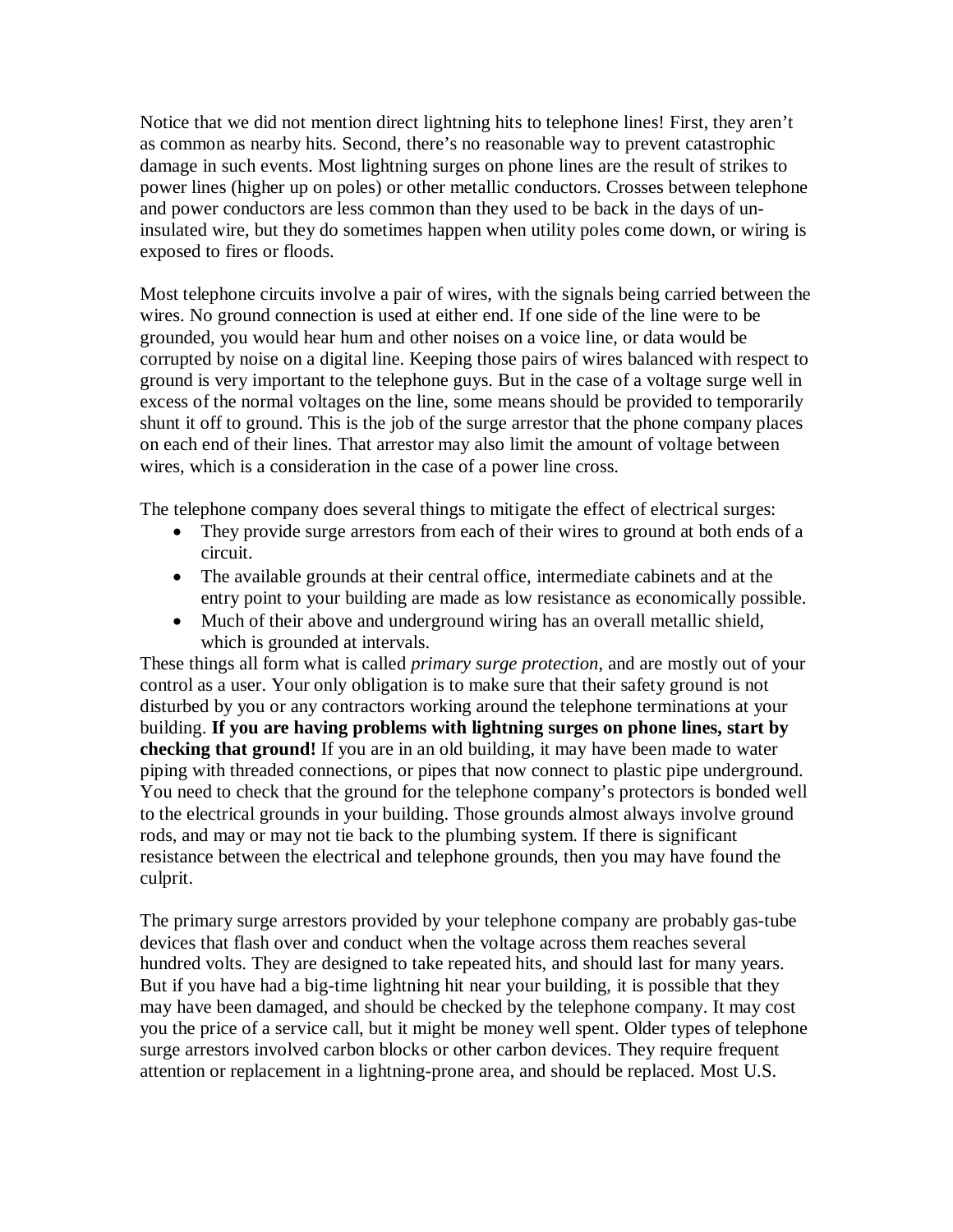Notice that we did not mention direct lightning hits to telephone lines! First, they aren't as common as nearby hits. Second, there's no reasonable way to prevent catastrophic damage in such events. Most lightning surges on phone lines are the result of strikes to power lines (higher up on poles) or other metallic conductors. Crosses between telephone and power conductors are less common than they used to be back in the days of uninsulated wire, but they do sometimes happen when utility poles come down, or wiring is exposed to fires or floods.

Most telephone circuits involve a pair of wires, with the signals being carried between the wires. No ground connection is used at either end. If one side of the line were to be grounded, you would hear hum and other noises on a voice line, or data would be corrupted by noise on a digital line. Keeping those pairs of wires balanced with respect to ground is very important to the telephone guys. But in the case of a voltage surge well in excess of the normal voltages on the line, some means should be provided to temporarily shunt it off to ground. This is the job of the surge arrestor that the phone company places on each end of their lines. That arrestor may also limit the amount of voltage between wires, which is a consideration in the case of a power line cross.

The telephone company does several things to mitigate the effect of electrical surges:

- They provide surge arrestors from each of their wires to ground at both ends of a circuit.
- The available grounds at their central office, intermediate cabinets and at the entry point to your building are made as low resistance as economically possible.
- Much of their above and underground wiring has an overall metallic shield, which is grounded at intervals.

These things all form what is called *primary surge protection*, and are mostly out of your control as a user. Your only obligation is to make sure that their safety ground is not disturbed by you or any contractors working around the telephone terminations at your building. **If you are having problems with lightning surges on phone lines, start by checking that ground!** If you are in an old building, it may have been made to water piping with threaded connections, or pipes that now connect to plastic pipe underground. You need to check that the ground for the telephone company's protectors is bonded well to the electrical grounds in your building. Those grounds almost always involve ground rods, and may or may not tie back to the plumbing system. If there is significant resistance between the electrical and telephone grounds, then you may have found the culprit.

The primary surge arrestors provided by your telephone company are probably gas-tube devices that flash over and conduct when the voltage across them reaches several hundred volts. They are designed to take repeated hits, and should last for many years. But if you have had a big-time lightning hit near your building, it is possible that they may have been damaged, and should be checked by the telephone company. It may cost you the price of a service call, but it might be money well spent. Older types of telephone surge arrestors involved carbon blocks or other carbon devices. They require frequent attention or replacement in a lightning-prone area, and should be replaced. Most U.S.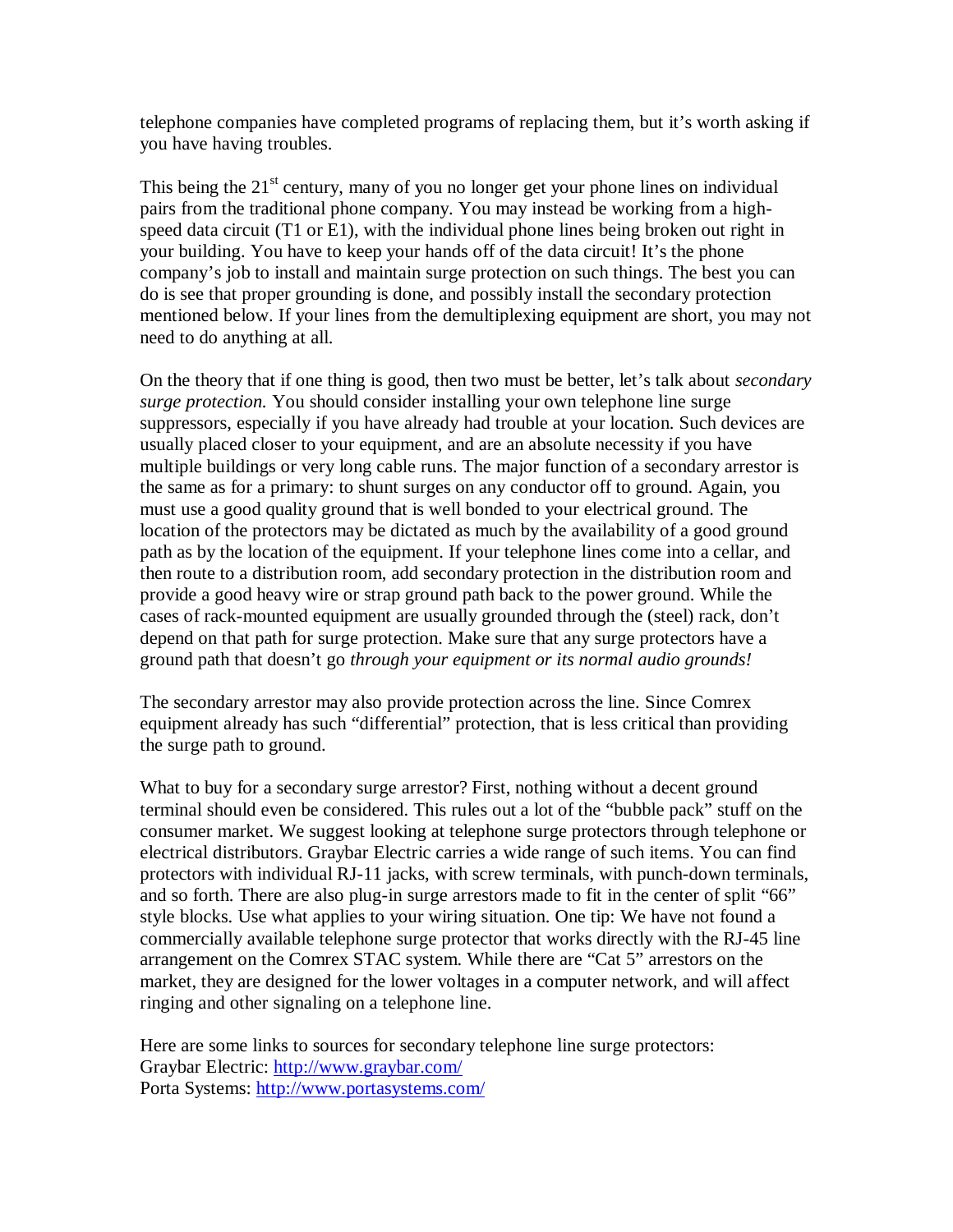telephone companies have completed programs of replacing them, but it's worth asking if you have having troubles.

This being the  $21<sup>st</sup>$  century, many of you no longer get your phone lines on individual pairs from the traditional phone company. You may instead be working from a highspeed data circuit (T1 or E1), with the individual phone lines being broken out right in your building. You have to keep your hands off of the data circuit! It's the phone company's job to install and maintain surge protection on such things. The best you can do is see that proper grounding is done, and possibly install the secondary protection mentioned below. If your lines from the demultiplexing equipment are short, you may not need to do anything at all.

On the theory that if one thing is good, then two must be better, let's talk about *secondary surge protection.* You should consider installing your own telephone line surge suppressors, especially if you have already had trouble at your location. Such devices are usually placed closer to your equipment, and are an absolute necessity if you have multiple buildings or very long cable runs. The major function of a secondary arrestor is the same as for a primary: to shunt surges on any conductor off to ground. Again, you must use a good quality ground that is well bonded to your electrical ground. The location of the protectors may be dictated as much by the availability of a good ground path as by the location of the equipment. If your telephone lines come into a cellar, and then route to a distribution room, add secondary protection in the distribution room and provide a good heavy wire or strap ground path back to the power ground. While the cases of rack-mounted equipment are usually grounded through the (steel) rack, don't depend on that path for surge protection. Make sure that any surge protectors have a ground path that doesn't go *through your equipment or its normal audio grounds!*

The secondary arrestor may also provide protection across the line. Since Comrex equipment already has such "differential" protection, that is less critical than providing the surge path to ground.

What to buy for a secondary surge arrestor? First, nothing without a decent ground terminal should even be considered. This rules out a lot of the "bubble pack" stuff on the consumer market. We suggest looking at telephone surge protectors through telephone or electrical distributors. Graybar Electric carries a wide range of such items. You can find protectors with individual RJ-11 jacks, with screw terminals, with punch-down terminals, and so forth. There are also plug-in surge arrestors made to fit in the center of split "66" style blocks. Use what applies to your wiring situation. One tip: We have not found a commercially available telephone surge protector that works directly with the RJ-45 line arrangement on the Comrex STAC system. While there are "Cat 5" arrestors on the market, they are designed for the lower voltages in a computer network, and will affect ringing and other signaling on a telephone line.

Here are some links to sources for secondary telephone line surge protectors: Graybar Electric: http://www.graybar.com/ Porta Systems: http://www.portasystems.com/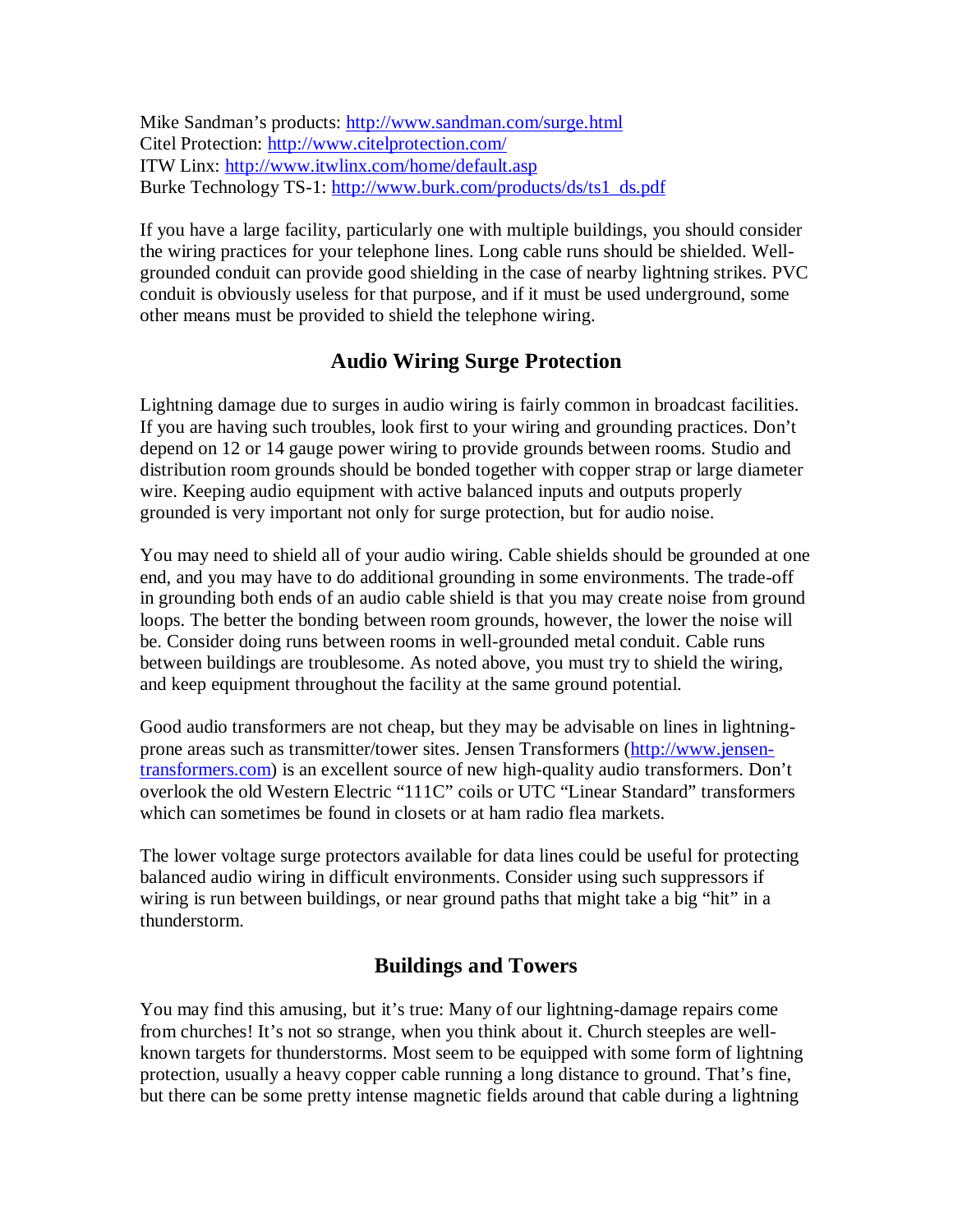Mike Sandman's products: http://www.sandman.com/surge.html Citel Protection: http://www.citelprotection.com/ ITW Linx: http://www.itwlinx.com/home/default.asp Burke Technology TS-1: http://www.burk.com/products/ds/ts1\_ds.pdf

If you have a large facility, particularly one with multiple buildings, you should consider the wiring practices for your telephone lines. Long cable runs should be shielded. Wellgrounded conduit can provide good shielding in the case of nearby lightning strikes. PVC conduit is obviously useless for that purpose, and if it must be used underground, some other means must be provided to shield the telephone wiring.

## **Audio Wiring Surge Protection**

Lightning damage due to surges in audio wiring is fairly common in broadcast facilities. If you are having such troubles, look first to your wiring and grounding practices. Don't depend on 12 or 14 gauge power wiring to provide grounds between rooms. Studio and distribution room grounds should be bonded together with copper strap or large diameter wire. Keeping audio equipment with active balanced inputs and outputs properly grounded is very important not only for surge protection, but for audio noise.

You may need to shield all of your audio wiring. Cable shields should be grounded at one end, and you may have to do additional grounding in some environments. The trade-off in grounding both ends of an audio cable shield is that you may create noise from ground loops. The better the bonding between room grounds, however, the lower the noise will be. Consider doing runs between rooms in well-grounded metal conduit. Cable runs between buildings are troublesome. As noted above, you must try to shield the wiring, and keep equipment throughout the facility at the same ground potential.

Good audio transformers are not cheap, but they may be advisable on lines in lightningprone areas such as transmitter/tower sites. Jensen Transformers (http://www.jensentransformers.com) is an excellent source of new high-quality audio transformers. Don't overlook the old Western Electric "111C" coils or UTC "Linear Standard" transformers which can sometimes be found in closets or at ham radio flea markets.

The lower voltage surge protectors available for data lines could be useful for protecting balanced audio wiring in difficult environments. Consider using such suppressors if wiring is run between buildings, or near ground paths that might take a big "hit" in a thunderstorm.

## **Buildings and Towers**

You may find this amusing, but it's true: Many of our lightning-damage repairs come from churches! It's not so strange, when you think about it. Church steeples are wellknown targets for thunderstorms. Most seem to be equipped with some form of lightning protection, usually a heavy copper cable running a long distance to ground. That's fine, but there can be some pretty intense magnetic fields around that cable during a lightning